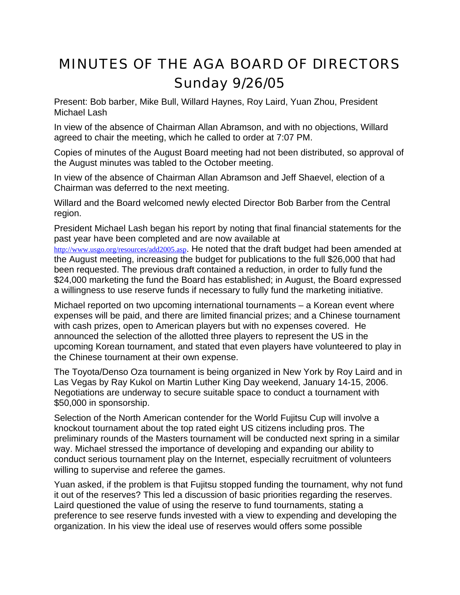## MINUTES OF THE AGA BOARD OF DIRECTORS Sunday 9/26/05

Present: Bob barber, Mike Bull, Willard Haynes, Roy Laird, Yuan Zhou, President Michael Lash

In view of the absence of Chairman Allan Abramson, and with no objections, Willard agreed to chair the meeting, which he called to order at 7:07 PM.

Copies of minutes of the August Board meeting had not been distributed, so approval of the August minutes was tabled to the October meeting.

In view of the absence of Chairman Allan Abramson and Jeff Shaevel, election of a Chairman was deferred to the next meeting.

Willard and the Board welcomed newly elected Director Bob Barber from the Central region.

President Michael Lash began his report by noting that final financial statements for the past year have been completed and are now available at

<http://www.usgo.org/resources/add2005.asp>. He noted that the draft budget had been amended at the August meeting, increasing the budget for publications to the full \$26,000 that had been requested. The previous draft contained a reduction, in order to fully fund the \$24,000 marketing the fund the Board has established; in August, the Board expressed a willingness to use reserve funds if necessary to fully fund the marketing initiative.

Michael reported on two upcoming international tournaments – a Korean event where expenses will be paid, and there are limited financial prizes; and a Chinese tournament with cash prizes, open to American players but with no expenses covered. He announced the selection of the allotted three players to represent the US in the upcoming Korean tournament, and stated that even players have volunteered to play in the Chinese tournament at their own expense.

The Toyota/Denso Oza tournament is being organized in New York by Roy Laird and in Las Vegas by Ray Kukol on Martin Luther King Day weekend, January 14-15, 2006. Negotiations are underway to secure suitable space to conduct a tournament with \$50,000 in sponsorship.

Selection of the North American contender for the World Fujitsu Cup will involve a knockout tournament about the top rated eight US citizens including pros. The preliminary rounds of the Masters tournament will be conducted next spring in a similar way. Michael stressed the importance of developing and expanding our ability to conduct serious tournament play on the Internet, especially recruitment of volunteers willing to supervise and referee the games.

Yuan asked, if the problem is that Fujitsu stopped funding the tournament, why not fund it out of the reserves? This led a discussion of basic priorities regarding the reserves. Laird questioned the value of using the reserve to fund tournaments, stating a preference to see reserve funds invested with a view to expending and developing the organization. In his view the ideal use of reserves would offers some possible